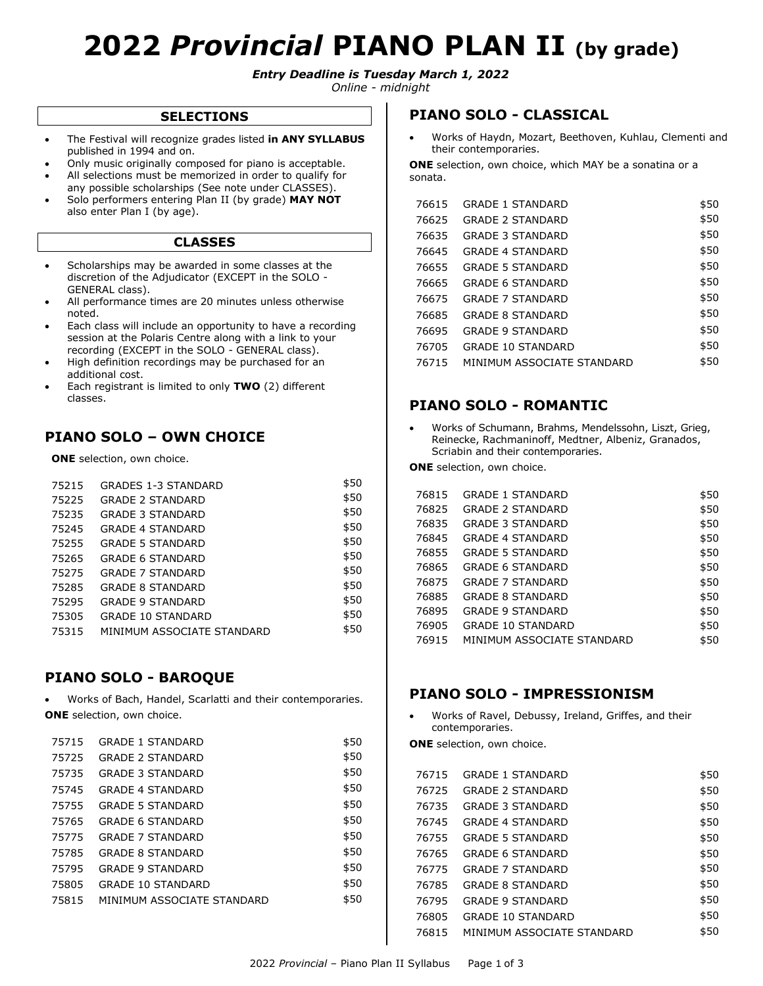# **2022** *Provincial* **PIANO PLAN II (by grade)**

*Entry Deadline is Tuesday March 1, 2022*

*Online - midnight*

#### **SELECTIONS**

- The Festival will recognize grades listed **in ANY SYLLABUS**  published in 1994 and on.
- Only music originally composed for piano is acceptable.
- All selections must be memorized in order to qualify for any possible scholarships (See note under CLASSES).
- Solo performers entering Plan II (by grade) **MAY NOT** also enter Plan I (by age).

#### **CLASSES**

- Scholarships may be awarded in some classes at the discretion of the Adjudicator (EXCEPT in the SOLO - GENERAL class).
- All performance times are 20 minutes unless otherwise noted.
- Each class will include an opportunity to have a recording session at the Polaris Centre along with a link to your recording (EXCEPT in the SOLO - GENERAL class).
- High definition recordings may be purchased for an additional cost.
- Each registrant is limited to only **TWO** (2) different classes.

# **PIANO SOLO – OWN CHOICE**

**ONE** selection, own choice.

| 75215 | <b>GRADES 1-3 STANDARD</b> | \$50 |
|-------|----------------------------|------|
| 75225 | <b>GRADE 2 STANDARD</b>    | \$50 |
| 75235 | <b>GRADE 3 STANDARD</b>    | \$50 |
| 75245 | <b>GRADE 4 STANDARD</b>    | \$50 |
| 75255 | <b>GRADE 5 STANDARD</b>    | \$50 |
| 75265 | <b>GRADE 6 STANDARD</b>    | \$50 |
| 75275 | <b>GRADE 7 STANDARD</b>    | \$50 |
| 75285 | <b>GRADE 8 STANDARD</b>    | \$50 |
| 75295 | <b>GRADE 9 STANDARD</b>    | \$50 |
| 75305 | <b>GRADE 10 STANDARD</b>   | \$50 |
| 75315 | MINIMUM ASSOCIATE STANDARD | \$50 |

## **PIANO SOLO - BAROQUE**

 Works of Bach, Handel, Scarlatti and their contemporaries. **ONE** selection, own choice.

| 75715 | <b>GRADE 1 STANDARD</b>    | \$50 |
|-------|----------------------------|------|
| 75725 | <b>GRADE 2 STANDARD</b>    | \$50 |
| 75735 | <b>GRADE 3 STANDARD</b>    | \$50 |
| 75745 | <b>GRADE 4 STANDARD</b>    | \$50 |
| 75755 | <b>GRADE 5 STANDARD</b>    | \$50 |
| 75765 | <b>GRADE 6 STANDARD</b>    | \$50 |
| 75775 | <b>GRADE 7 STANDARD</b>    | \$50 |
| 75785 | <b>GRADE 8 STANDARD</b>    | \$50 |
| 75795 | <b>GRADE 9 STANDARD</b>    | \$50 |
| 75805 | <b>GRADE 10 STANDARD</b>   | \$50 |
| 75815 | MINIMUM ASSOCIATE STANDARD | \$50 |

## **PIANO SOLO - CLASSICAL**

 Works of Haydn, Mozart, Beethoven, Kuhlau, Clementi and their contemporaries.

**ONE** selection, own choice, which MAY be a sonatina or a sonata.

| 76615 | <b>GRADE 1 STANDARD</b>    | \$50 |
|-------|----------------------------|------|
| 76625 | <b>GRADE 2 STANDARD</b>    | \$50 |
| 76635 | <b>GRADE 3 STANDARD</b>    | \$50 |
| 76645 | <b>GRADE 4 STANDARD</b>    | \$50 |
| 76655 | <b>GRADE 5 STANDARD</b>    | \$50 |
| 76665 | <b>GRADE 6 STANDARD</b>    | \$50 |
| 76675 | <b>GRADE 7 STANDARD</b>    | \$50 |
| 76685 | <b>GRADE 8 STANDARD</b>    | \$50 |
| 76695 | <b>GRADE 9 STANDARD</b>    | \$50 |
| 76705 | <b>GRADE 10 STANDARD</b>   | \$50 |
| 76715 | MINIMUM ASSOCIATE STANDARD | \$50 |

## **PIANO SOLO - ROMANTIC**

 Works of Schumann, Brahms, Mendelssohn, Liszt, Grieg, Reinecke, Rachmaninoff, Medtner, Albeniz, Granados, Scriabin and their contemporaries.

**ONE** selection, own choice.

| 76815 | <b>GRADE 1 STANDARD</b>    | \$50 |
|-------|----------------------------|------|
| 76825 | <b>GRADE 2 STANDARD</b>    | \$50 |
| 76835 | <b>GRADE 3 STANDARD</b>    | \$50 |
| 76845 | <b>GRADE 4 STANDARD</b>    | \$50 |
| 76855 | <b>GRADE 5 STANDARD</b>    | \$50 |
| 76865 | <b>GRADE 6 STANDARD</b>    | \$50 |
| 76875 | <b>GRADE 7 STANDARD</b>    | \$50 |
| 76885 | <b>GRADE 8 STANDARD</b>    | \$50 |
| 76895 | <b>GRADE 9 STANDARD</b>    | \$50 |
| 76905 | <b>GRADE 10 STANDARD</b>   | \$50 |
| 76915 | MINIMUM ASSOCIATE STANDARD | \$50 |

## **PIANO SOLO - IMPRESSIONISM**

 Works of Ravel, Debussy, Ireland, Griffes, and their contemporaries.

**ONE** selection, own choice.

| 76715 | <b>GRADE 1 STANDARD</b>    | \$50 |
|-------|----------------------------|------|
| 76725 | <b>GRADE 2 STANDARD</b>    | \$50 |
| 76735 | <b>GRADE 3 STANDARD</b>    | \$50 |
| 76745 | <b>GRADE 4 STANDARD</b>    | \$50 |
| 76755 | <b>GRADE 5 STANDARD</b>    | \$50 |
| 76765 | <b>GRADE 6 STANDARD</b>    | \$50 |
| 76775 | <b>GRADE 7 STANDARD</b>    | \$50 |
| 76785 | <b>GRADE 8 STANDARD</b>    | \$50 |
| 76795 | <b>GRADE 9 STANDARD</b>    | \$50 |
| 76805 | <b>GRADE 10 STANDARD</b>   | \$50 |
| 76815 | MINIMUM ASSOCIATE STANDARD | \$50 |
|       |                            |      |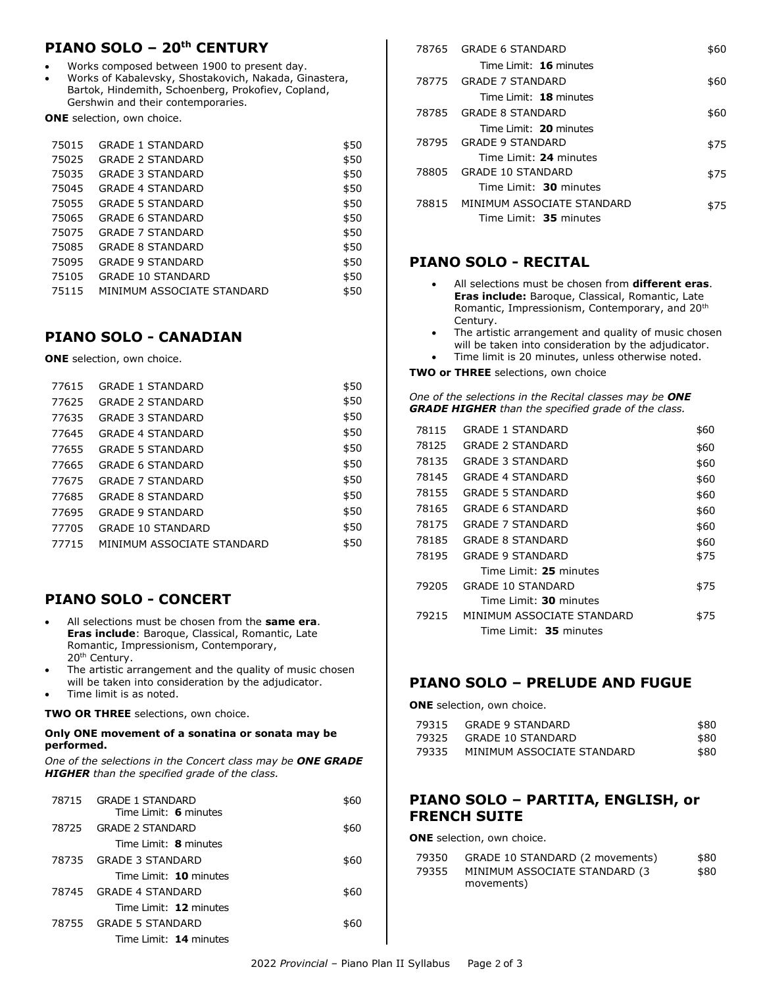# **PIANO SOLO – 20th CENTURY**

- Works composed between 1900 to present day.
- Works of Kabalevsky, Shostakovich, Nakada, Ginastera, Bartok, Hindemith, Schoenberg, Prokofiev, Copland, Gershwin and their contemporaries.

**ONE** selection, own choice.

| 75015 | <b>GRADE 1 STANDARD</b>    | \$50 |
|-------|----------------------------|------|
| 75025 | <b>GRADE 2 STANDARD</b>    | \$50 |
| 75035 | <b>GRADE 3 STANDARD</b>    | \$50 |
| 75045 | <b>GRADE 4 STANDARD</b>    | \$50 |
| 75055 | <b>GRADE 5 STANDARD</b>    | \$50 |
| 75065 | <b>GRADE 6 STANDARD</b>    | \$50 |
| 75075 | <b>GRADE 7 STANDARD</b>    | \$50 |
| 75085 | <b>GRADE 8 STANDARD</b>    | \$50 |
| 75095 | <b>GRADE 9 STANDARD</b>    | \$50 |
| 75105 | <b>GRADE 10 STANDARD</b>   | \$50 |
| 75115 | MINIMUM ASSOCIATE STANDARD | \$50 |
|       |                            |      |

## **PIANO SOLO - CANADIAN**

**ONE** selection, own choice.

| 77615 | <b>GRADE 1 STANDARD</b>    | \$50 |
|-------|----------------------------|------|
| 77625 | <b>GRADE 2 STANDARD</b>    | \$50 |
| 77635 | <b>GRADE 3 STANDARD</b>    | \$50 |
| 77645 | <b>GRADE 4 STANDARD</b>    | \$50 |
| 77655 | <b>GRADE 5 STANDARD</b>    | \$50 |
| 77665 | <b>GRADE 6 STANDARD</b>    | \$50 |
| 77675 | <b>GRADE 7 STANDARD</b>    | \$50 |
| 77685 | <b>GRADE 8 STANDARD</b>    | \$50 |
| 77695 | <b>GRADE 9 STANDARD</b>    | \$50 |
| 77705 | <b>GRADE 10 STANDARD</b>   | \$50 |
| 77715 | MINIMUM ASSOCIATE STANDARD | \$50 |
|       |                            |      |

# **PIANO SOLO - CONCERT**

- All selections must be chosen from the **same era**. **Eras include**: Baroque, Classical, Romantic, Late Romantic, Impressionism, Contemporary, 20<sup>th</sup> Century.
- The artistic arrangement and the quality of music chosen will be taken into consideration by the adjudicator.
- Time limit is as noted.

**TWO OR THREE** selections, own choice.

#### **Only ONE movement of a sonatina or sonata may be performed.**

*One of the selections in the Concert class may be ONE GRADE HIGHER than the specified grade of the class.*

|       | 78715 GRADE 1 STANDARD<br>Time Limit: 6 minutes | \$60 |
|-------|-------------------------------------------------|------|
| 78725 | <b>GRADE 2 STANDARD</b>                         | \$60 |
|       | Time Limit: 8 minutes                           |      |
| 78735 | GRADE 3 STANDARD                                | \$60 |
|       | Time Limit: 10 minutes                          |      |
| 78745 | GRADE 4 STANDARD                                | \$60 |
|       | Time Limit: 12 minutes                          |      |
| 78755 | GRADE 5 STANDARD                                | \$60 |
|       | Time Limit: 14 minutes                          |      |

|       | 78765 GRADE 6 STANDARD           | \$60 |
|-------|----------------------------------|------|
|       | Time Limit: 16 minutes           |      |
| 78775 | GRADE 7 STANDARD                 | \$60 |
|       | Time Limit: 18 minutes           |      |
|       | 78785 GRADE 8 STANDARD           | \$60 |
|       | Time Limit: 20 minutes           |      |
|       | 78795 GRADE 9 STANDARD           | \$75 |
|       | Time Limit: 24 minutes           |      |
|       | 78805 GRADE 10 STANDARD          | \$75 |
|       | Time Limit: 30 minutes           |      |
|       | 78815 MINIMUM ASSOCIATE STANDARD | \$75 |
|       | Time Limit: 35 minutes           |      |

## **PIANO SOLO - RECITAL**

- All selections must be chosen from **different eras**. **Eras include:** Baroque, Classical, Romantic, Late Romantic, Impressionism, Contemporary, and 20th Century.
- The artistic arrangement and quality of music chosen will be taken into consideration by the adjudicator.
- Time limit is 20 minutes, unless otherwise noted.

**TWO or THREE** selections, own choice

*One of the selections in the Recital classes may be ONE GRADE HIGHER than the specified grade of the class.*

| 78115 | <b>GRADE 1 STANDARD</b>    | \$60 |
|-------|----------------------------|------|
| 78125 | <b>GRADE 2 STANDARD</b>    | \$60 |
| 78135 | <b>GRADE 3 STANDARD</b>    | \$60 |
| 78145 | <b>GRADE 4 STANDARD</b>    | \$60 |
| 78155 | <b>GRADE 5 STANDARD</b>    | \$60 |
| 78165 | <b>GRADE 6 STANDARD</b>    | \$60 |
| 78175 | <b>GRADE 7 STANDARD</b>    | \$60 |
| 78185 | <b>GRADE 8 STANDARD</b>    | \$60 |
| 78195 | <b>GRADE 9 STANDARD</b>    | \$75 |
|       | Time Limit: 25 minutes     |      |
| 79205 | <b>GRADE 10 STANDARD</b>   | \$75 |
|       | Time Limit: 30 minutes     |      |
| 79215 | MINIMUM ASSOCIATE STANDARD | \$75 |
|       | Time Limit: 35 minutes     |      |

## **PIANO SOLO – PRELUDE AND FUGUE**

**ONE** selection, own choice.

|       | 79315 GRADE 9 STANDARD     | \$80 |
|-------|----------------------------|------|
|       | 79325 GRADE 10 STANDARD    | \$80 |
| 79335 | MINIMUM ASSOCIATE STANDARD | \$80 |

## **PIANO SOLO – PARTITA, ENGLISH, or FRENCH SUITE**

**ONE** selection, own choice.

| 79350 | GRADE 10 STANDARD (2 movements) | \$80 |
|-------|---------------------------------|------|
| 79355 | MINIMUM ASSOCIATE STANDARD (3   | \$80 |
|       | movements)                      |      |